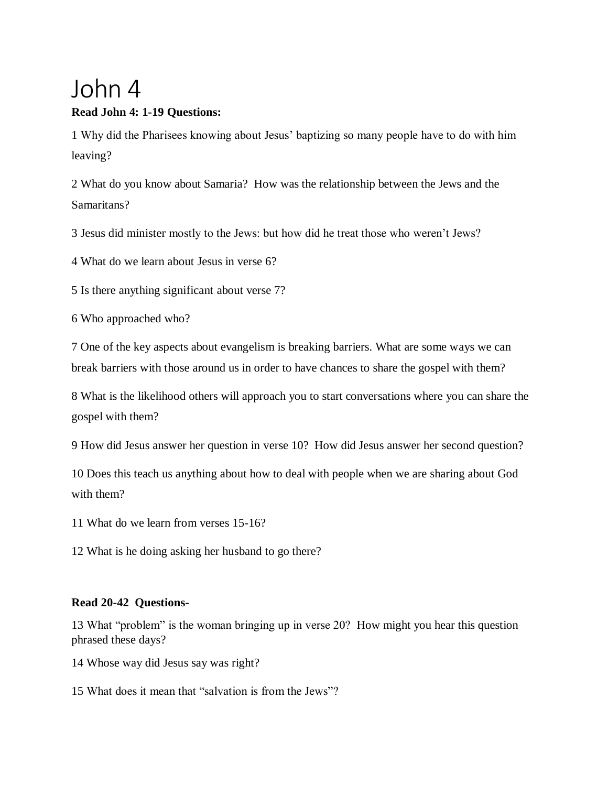## John 4

## **Read John 4: 1-19 Questions:**

1 Why did the Pharisees knowing about Jesus' baptizing so many people have to do with him leaving?

2 What do you know about Samaria? How was the relationship between the Jews and the Samaritans?

3 Jesus did minister mostly to the Jews: but how did he treat those who weren't Jews?

4 What do we learn about Jesus in verse 6?

5 Is there anything significant about verse 7?

6 Who approached who?

7 One of the key aspects about evangelism is breaking barriers. What are some ways we can break barriers with those around us in order to have chances to share the gospel with them?

8 What is the likelihood others will approach you to start conversations where you can share the gospel with them?

9 How did Jesus answer her question in verse 10? How did Jesus answer her second question?

10 Does this teach us anything about how to deal with people when we are sharing about God with them?

11 What do we learn from verses 15-16?

12 What is he doing asking her husband to go there?

## **Read 20-42 Questions-**

13 What "problem" is the woman bringing up in verse 20? How might you hear this question phrased these days?

14 Whose way did Jesus say was right?

15 What does it mean that "salvation is from the Jews"?